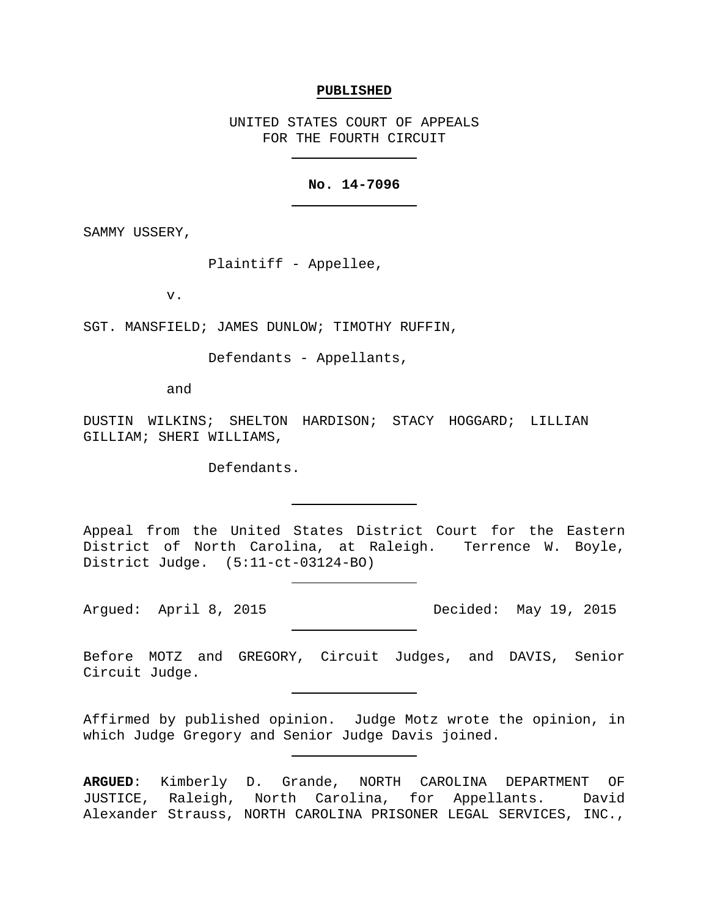#### **PUBLISHED**

UNITED STATES COURT OF APPEALS FOR THE FOURTH CIRCUIT

# **No. 14-7096**

SAMMY USSERY,

Plaintiff - Appellee,

v.

SGT. MANSFIELD; JAMES DUNLOW; TIMOTHY RUFFIN,

Defendants - Appellants,

and

DUSTIN WILKINS; SHELTON HARDISON; STACY HOGGARD; LILLIAN GILLIAM; SHERI WILLIAMS,

Defendants.

Appeal from the United States District Court for the Eastern District of North Carolina, at Raleigh. Terrence W. Boyle, District Judge. (5:11-ct-03124-BO)

Argued: April 8, 2015 Decided: May 19, 2015

Before MOTZ and GREGORY, Circuit Judges, and DAVIS, Senior Circuit Judge.

Affirmed by published opinion. Judge Motz wrote the opinion, in which Judge Gregory and Senior Judge Davis joined.

**ARGUED**: Kimberly D. Grande, NORTH CAROLINA DEPARTMENT OF JUSTICE, Raleigh, North Carolina, for Appellants. David Alexander Strauss, NORTH CAROLINA PRISONER LEGAL SERVICES, INC.,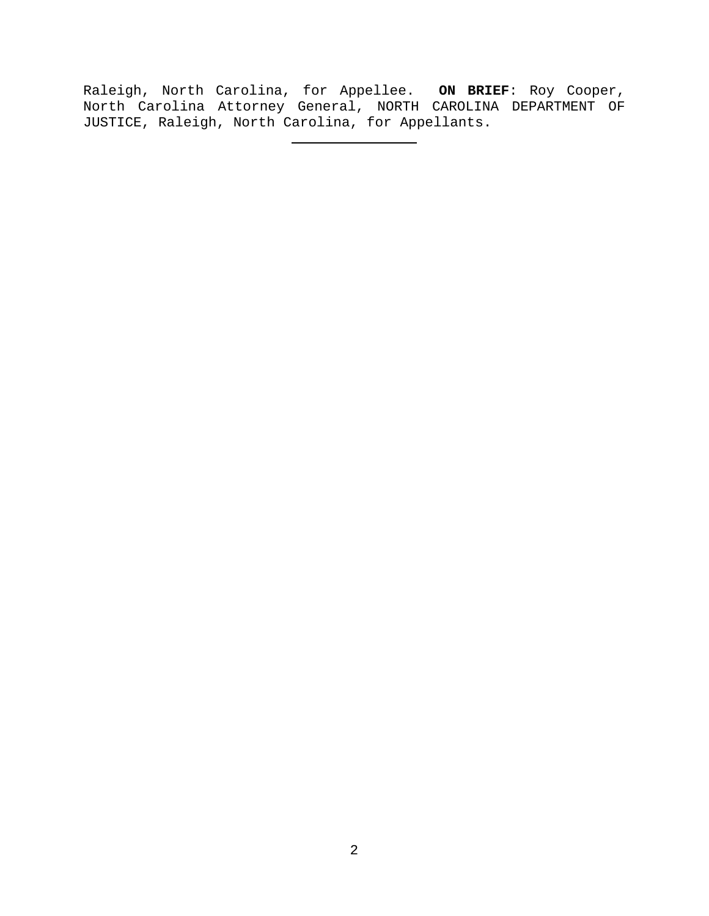Raleigh, North Carolina, for Appellee. **ON BRIEF**: Roy Cooper, North Carolina Attorney General, NORTH CAROLINA DEPARTMENT OF JUSTICE, Raleigh, North Carolina, for Appellants.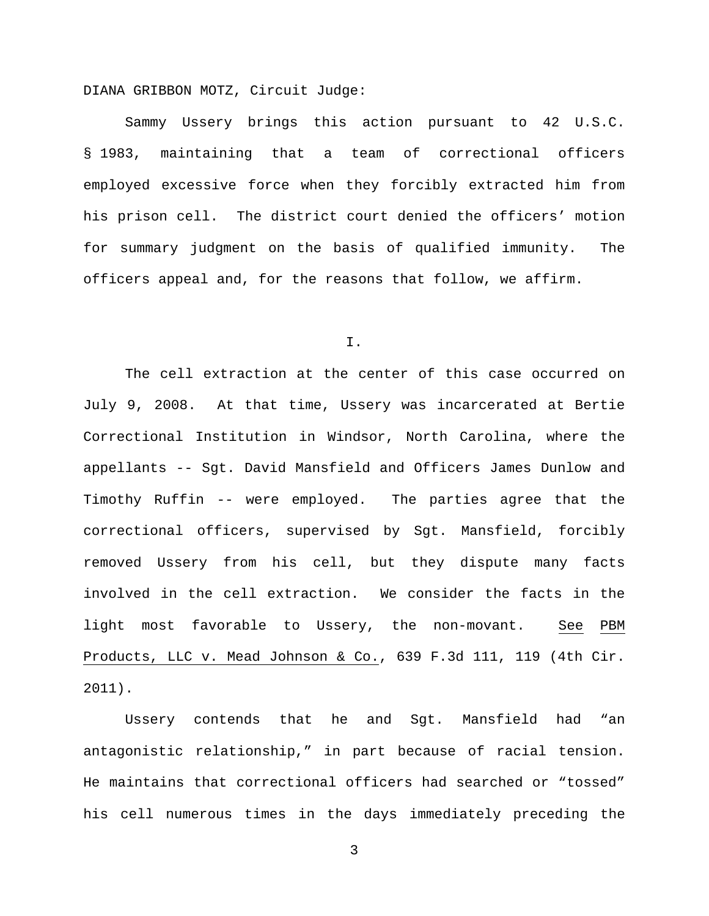DIANA GRIBBON MOTZ, Circuit Judge:

Sammy Ussery brings this action pursuant to 42 U.S.C. § 1983, maintaining that a team of correctional officers employed excessive force when they forcibly extracted him from his prison cell. The district court denied the officers' motion for summary judgment on the basis of qualified immunity. The officers appeal and, for the reasons that follow, we affirm.

I.

The cell extraction at the center of this case occurred on July 9, 2008. At that time, Ussery was incarcerated at Bertie Correctional Institution in Windsor, North Carolina, where the appellants -- Sgt. David Mansfield and Officers James Dunlow and Timothy Ruffin -- were employed. The parties agree that the correctional officers, supervised by Sgt. Mansfield, forcibly removed Ussery from his cell, but they dispute many facts involved in the cell extraction. We consider the facts in the light most favorable to Ussery, the non-movant. See PBM Products, LLC v. Mead Johnson & Co., 639 F.3d 111, 119 (4th Cir. 2011).

Ussery contends that he and Sgt. Mansfield had "an antagonistic relationship," in part because of racial tension. He maintains that correctional officers had searched or "tossed" his cell numerous times in the days immediately preceding the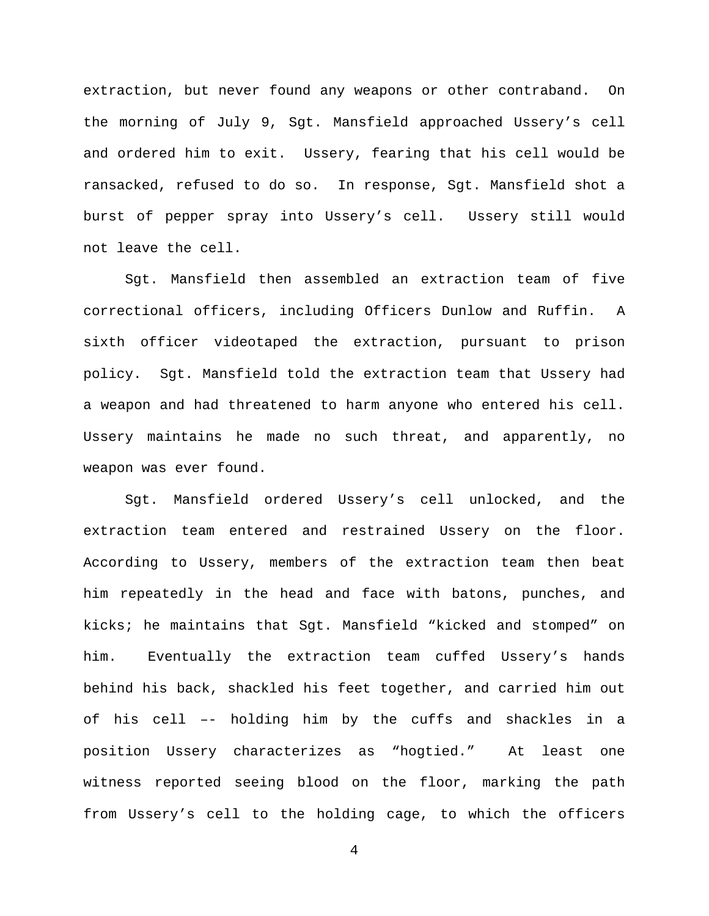extraction, but never found any weapons or other contraband. On the morning of July 9, Sgt. Mansfield approached Ussery's cell and ordered him to exit. Ussery, fearing that his cell would be ransacked, refused to do so. In response, Sgt. Mansfield shot a burst of pepper spray into Ussery's cell. Ussery still would not leave the cell.

Sgt. Mansfield then assembled an extraction team of five correctional officers, including Officers Dunlow and Ruffin. A sixth officer videotaped the extraction, pursuant to prison policy. Sgt. Mansfield told the extraction team that Ussery had a weapon and had threatened to harm anyone who entered his cell. Ussery maintains he made no such threat, and apparently, no weapon was ever found.

Sgt. Mansfield ordered Ussery's cell unlocked, and the extraction team entered and restrained Ussery on the floor. According to Ussery, members of the extraction team then beat him repeatedly in the head and face with batons, punches, and kicks; he maintains that Sgt. Mansfield "kicked and stomped" on him. Eventually the extraction team cuffed Ussery's hands behind his back, shackled his feet together, and carried him out of his cell –- holding him by the cuffs and shackles in a position Ussery characterizes as "hogtied." At least one witness reported seeing blood on the floor, marking the path from Ussery's cell to the holding cage, to which the officers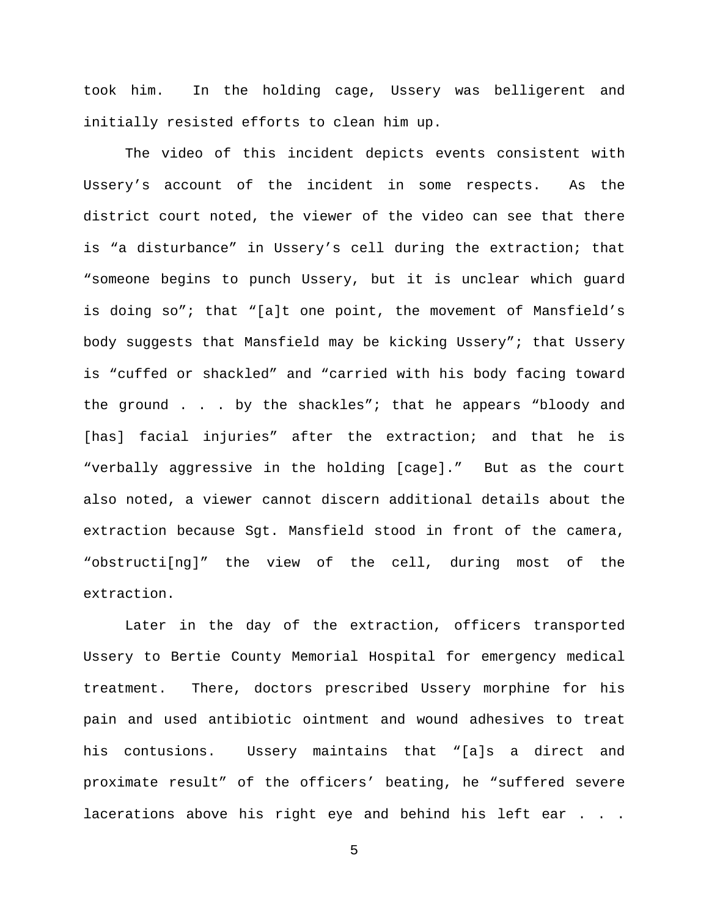took him. In the holding cage, Ussery was belligerent and initially resisted efforts to clean him up.

The video of this incident depicts events consistent with Ussery's account of the incident in some respects. As the district court noted, the viewer of the video can see that there is "a disturbance" in Ussery's cell during the extraction; that "someone begins to punch Ussery, but it is unclear which guard is doing so"; that "[a]t one point, the movement of Mansfield's body suggests that Mansfield may be kicking Ussery"; that Ussery is "cuffed or shackled" and "carried with his body facing toward the ground . . . by the shackles"; that he appears "bloody and [has] facial injuries" after the extraction; and that he is "verbally aggressive in the holding [cage]." But as the court also noted, a viewer cannot discern additional details about the extraction because Sgt. Mansfield stood in front of the camera, "obstructi[ng]" the view of the cell, during most of the extraction.

Later in the day of the extraction, officers transported Ussery to Bertie County Memorial Hospital for emergency medical treatment. There, doctors prescribed Ussery morphine for his pain and used antibiotic ointment and wound adhesives to treat his contusions. Ussery maintains that "[a]s a direct and proximate result" of the officers' beating, he "suffered severe lacerations above his right eye and behind his left ear . . .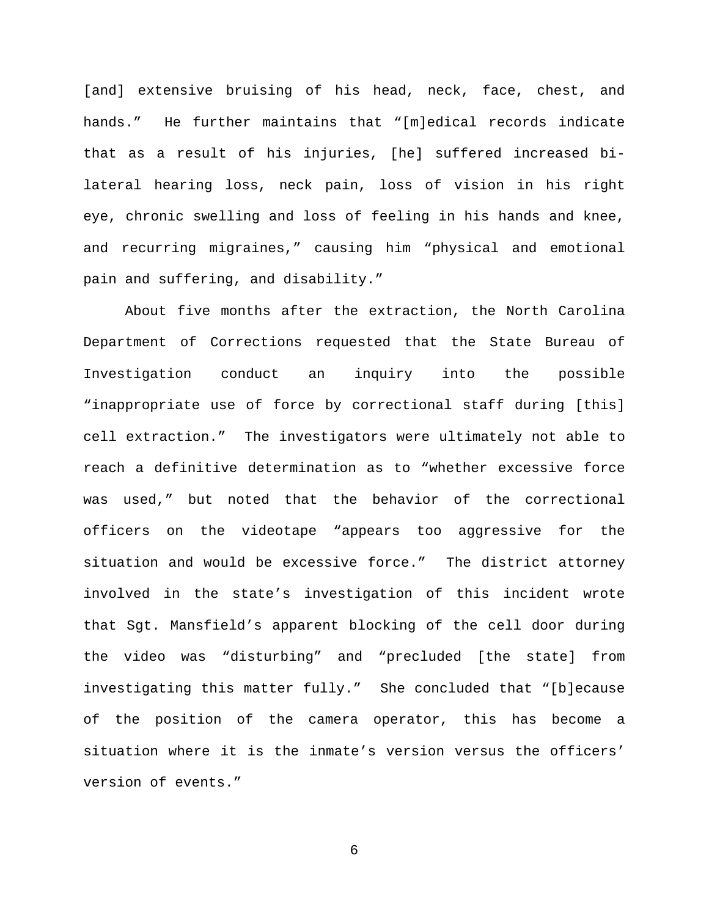[and] extensive bruising of his head, neck, face, chest, and hands." He further maintains that "[m]edical records indicate that as a result of his injuries, [he] suffered increased bilateral hearing loss, neck pain, loss of vision in his right eye, chronic swelling and loss of feeling in his hands and knee, and recurring migraines," causing him "physical and emotional pain and suffering, and disability."

About five months after the extraction, the North Carolina Department of Corrections requested that the State Bureau of Investigation conduct an inquiry into the possible "inappropriate use of force by correctional staff during [this] cell extraction." The investigators were ultimately not able to reach a definitive determination as to "whether excessive force was used," but noted that the behavior of the correctional officers on the videotape "appears too aggressive for the situation and would be excessive force." The district attorney involved in the state's investigation of this incident wrote that Sgt. Mansfield's apparent blocking of the cell door during the video was "disturbing" and "precluded [the state] from investigating this matter fully." She concluded that "[b]ecause of the position of the camera operator, this has become a situation where it is the inmate's version versus the officers' version of events."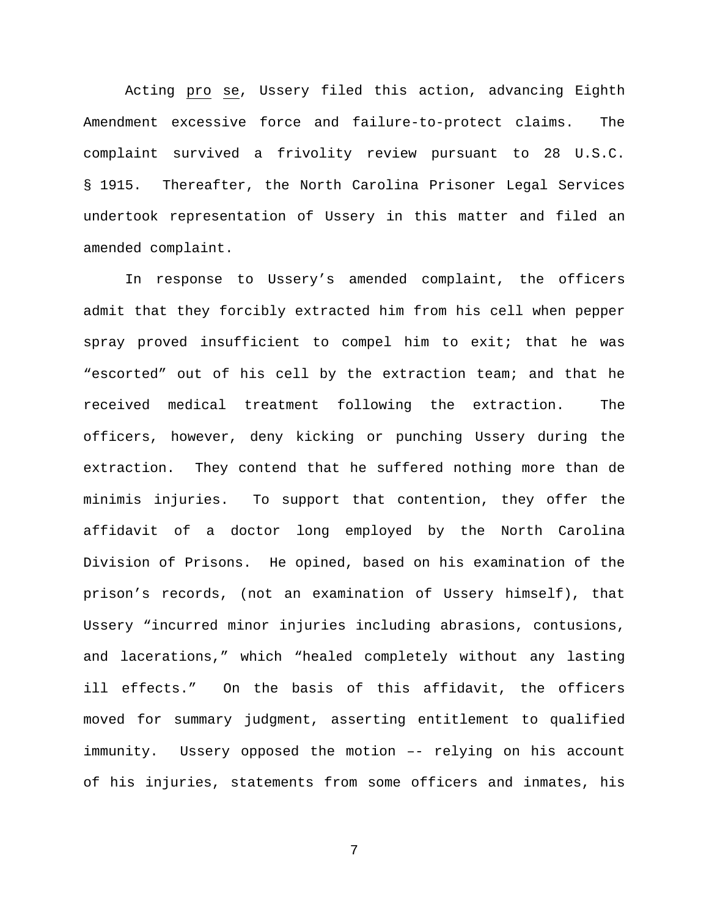Acting pro se, Ussery filed this action, advancing Eighth Amendment excessive force and failure-to-protect claims. The complaint survived a frivolity review pursuant to 28 U.S.C. § 1915. Thereafter, the North Carolina Prisoner Legal Services undertook representation of Ussery in this matter and filed an amended complaint.

In response to Ussery's amended complaint, the officers admit that they forcibly extracted him from his cell when pepper spray proved insufficient to compel him to exit; that he was "escorted" out of his cell by the extraction team; and that he received medical treatment following the extraction. The officers, however, deny kicking or punching Ussery during the extraction. They contend that he suffered nothing more than de minimis injuries. To support that contention, they offer the affidavit of a doctor long employed by the North Carolina Division of Prisons. He opined, based on his examination of the prison's records, (not an examination of Ussery himself), that Ussery "incurred minor injuries including abrasions, contusions, and lacerations," which "healed completely without any lasting ill effects." On the basis of this affidavit, the officers moved for summary judgment, asserting entitlement to qualified immunity. Ussery opposed the motion –- relying on his account of his injuries, statements from some officers and inmates, his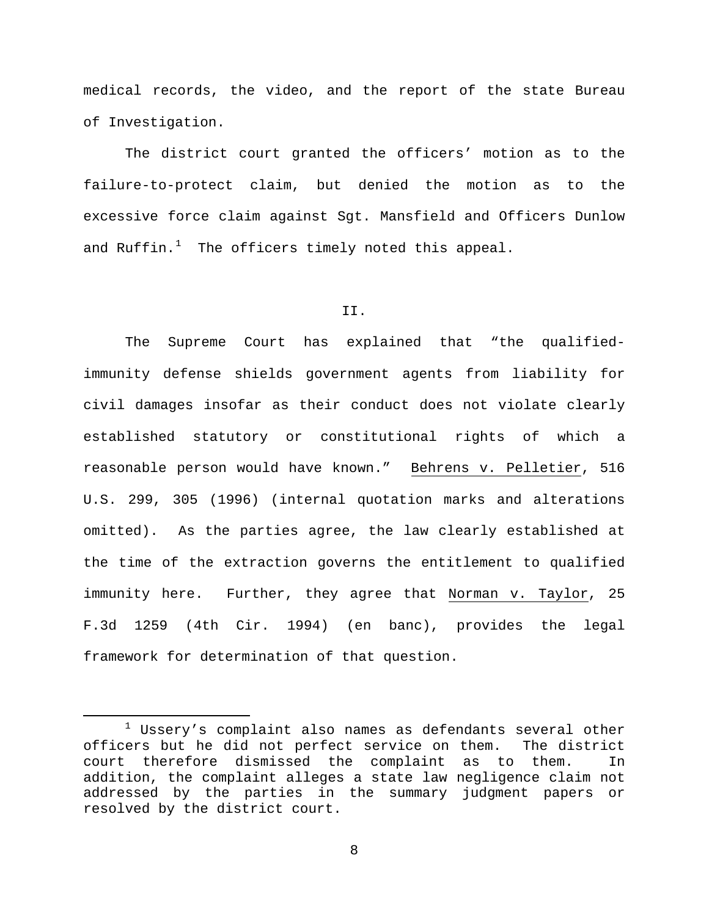medical records, the video, and the report of the state Bureau of Investigation.

The district court granted the officers' motion as to the failure-to-protect claim, but denied the motion as to the excessive force claim against Sgt. Mansfield and Officers Dunlow and Ruffin. $^1$  $^1$  The officers timely noted this appeal.

### II.

The Supreme Court has explained that "the qualifiedimmunity defense shields government agents from liability for civil damages insofar as their conduct does not violate clearly established statutory or constitutional rights of which a reasonable person would have known." Behrens v. Pelletier, 516 U.S. 299, 305 (1996) (internal quotation marks and alterations omitted). As the parties agree, the law clearly established at the time of the extraction governs the entitlement to qualified immunity here. Further, they agree that Norman v. Taylor, 25 F.3d 1259 (4th Cir. 1994) (en banc), provides the legal framework for determination of that question.

<span id="page-7-0"></span> $1$  Ussery's complaint also names as defendants several other officers but he did not perfect service on them. The district court therefore dismissed the complaint as to them. In addition, the complaint alleges a state law negligence claim not addressed by the parties in the summary judgment papers or resolved by the district court.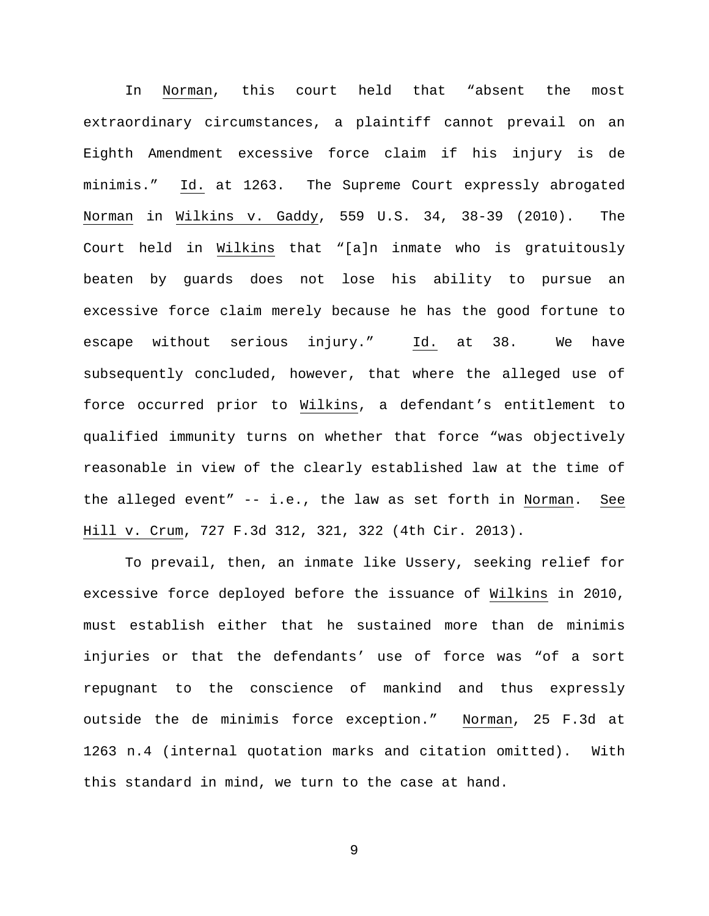In Norman, this court held that "absent the most extraordinary circumstances, a plaintiff cannot prevail on an Eighth Amendment excessive force claim if his injury is de minimis." Id. at 1263. The Supreme Court expressly abrogated Norman in Wilkins v. Gaddy, 559 U.S. 34, 38-39 (2010). The Court held in Wilkins that "[a]n inmate who is gratuitously beaten by guards does not lose his ability to pursue an excessive force claim merely because he has the good fortune to escape without serious injury." Id. at 38. We have subsequently concluded, however, that where the alleged use of force occurred prior to Wilkins, a defendant's entitlement to qualified immunity turns on whether that force "was objectively reasonable in view of the clearly established law at the time of the alleged event" -- i.e., the law as set forth in Norman. See Hill v. Crum, 727 F.3d 312, 321, 322 (4th Cir. 2013).

To prevail, then, an inmate like Ussery, seeking relief for excessive force deployed before the issuance of Wilkins in 2010, must establish either that he sustained more than de minimis injuries or that the defendants' use of force was "of a sort repugnant to the conscience of mankind and thus expressly outside the de minimis force exception." Norman, 25 F.3d at 1263 n.4 (internal quotation marks and citation omitted). With this standard in mind, we turn to the case at hand.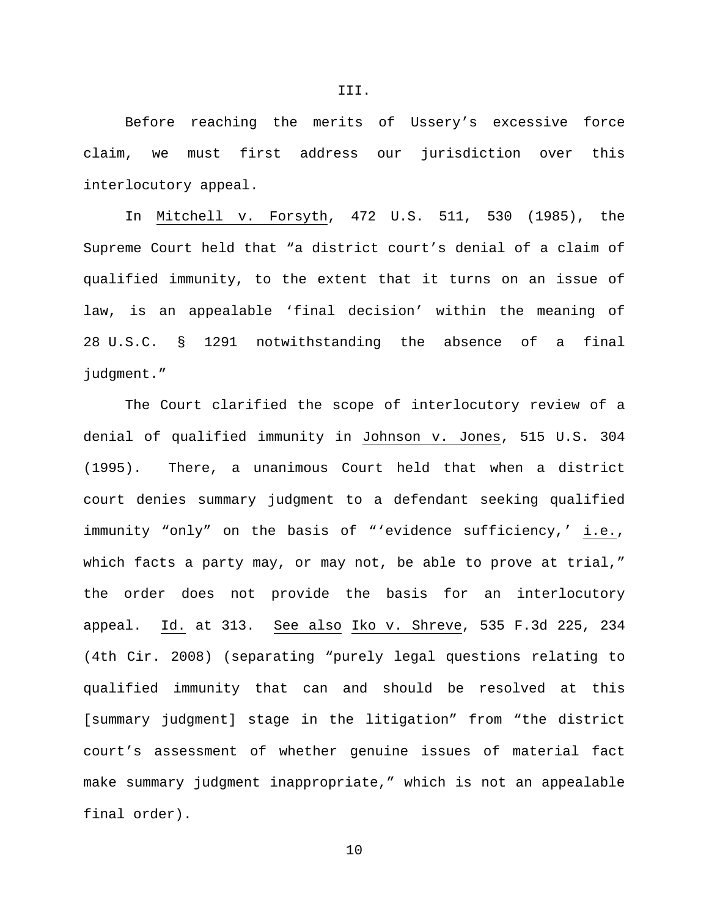Before reaching the merits of Ussery's excessive force claim, we must first address our jurisdiction over this interlocutory appeal.

III.

In Mitchell v. Forsyth, 472 U.S. 511, 530 (1985), the Supreme Court held that "a district court's denial of a claim of qualified immunity, to the extent that it turns on an issue of law, is an appealable 'final decision' within the meaning of 28 U.S.C. § 1291 notwithstanding the absence of a final judgment."

The Court clarified the scope of interlocutory review of a denial of qualified immunity in Johnson v. Jones, 515 U.S. 304 (1995). There, a unanimous Court held that when a district court denies summary judgment to a defendant seeking qualified immunity "only" on the basis of "'evidence sufficiency,' i.e., which facts a party may, or may not, be able to prove at trial," the order does not provide the basis for an interlocutory appeal. Id. at 313. See also Iko v. Shreve, 535 F.3d 225, 234 (4th Cir. 2008) (separating "purely legal questions relating to qualified immunity that can and should be resolved at this [summary judgment] stage in the litigation" from "the district court's assessment of whether genuine issues of material fact make summary judgment inappropriate," which is not an appealable final order).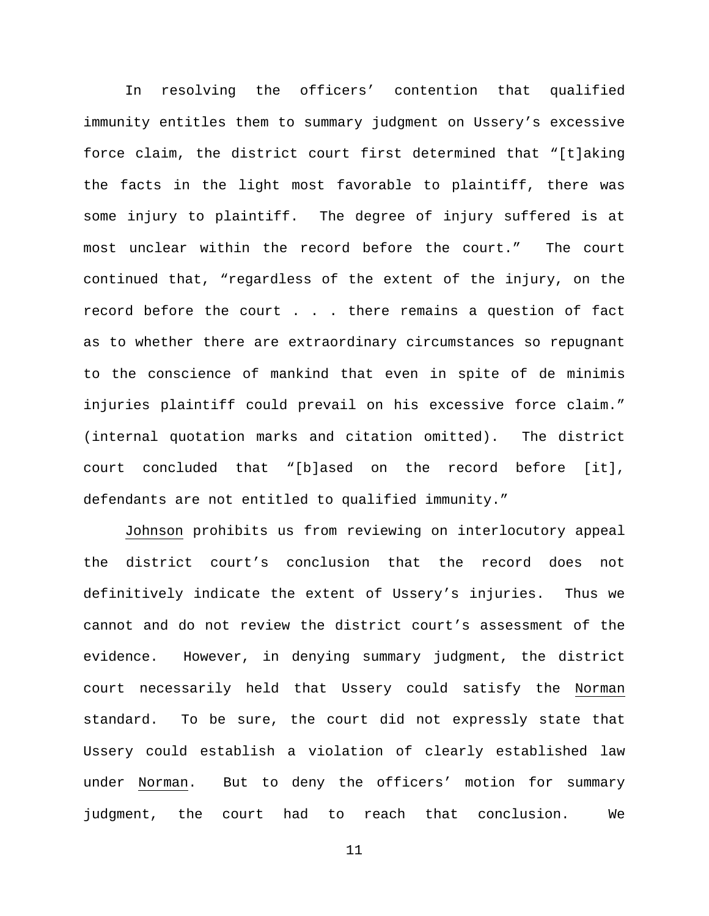In resolving the officers' contention that qualified immunity entitles them to summary judgment on Ussery's excessive force claim, the district court first determined that "[t]aking the facts in the light most favorable to plaintiff, there was some injury to plaintiff. The degree of injury suffered is at most unclear within the record before the court." The court continued that, "regardless of the extent of the injury, on the record before the court . . . there remains a question of fact as to whether there are extraordinary circumstances so repugnant to the conscience of mankind that even in spite of de minimis injuries plaintiff could prevail on his excessive force claim." (internal quotation marks and citation omitted). The district court concluded that "[b]ased on the record before [it], defendants are not entitled to qualified immunity."

Johnson prohibits us from reviewing on interlocutory appeal the district court's conclusion that the record does not definitively indicate the extent of Ussery's injuries. Thus we cannot and do not review the district court's assessment of the evidence. However, in denying summary judgment, the district court necessarily held that Ussery could satisfy the Norman standard. To be sure, the court did not expressly state that Ussery could establish a violation of clearly established law under Norman. But to deny the officers' motion for summary judgment, the court had to reach that conclusion. We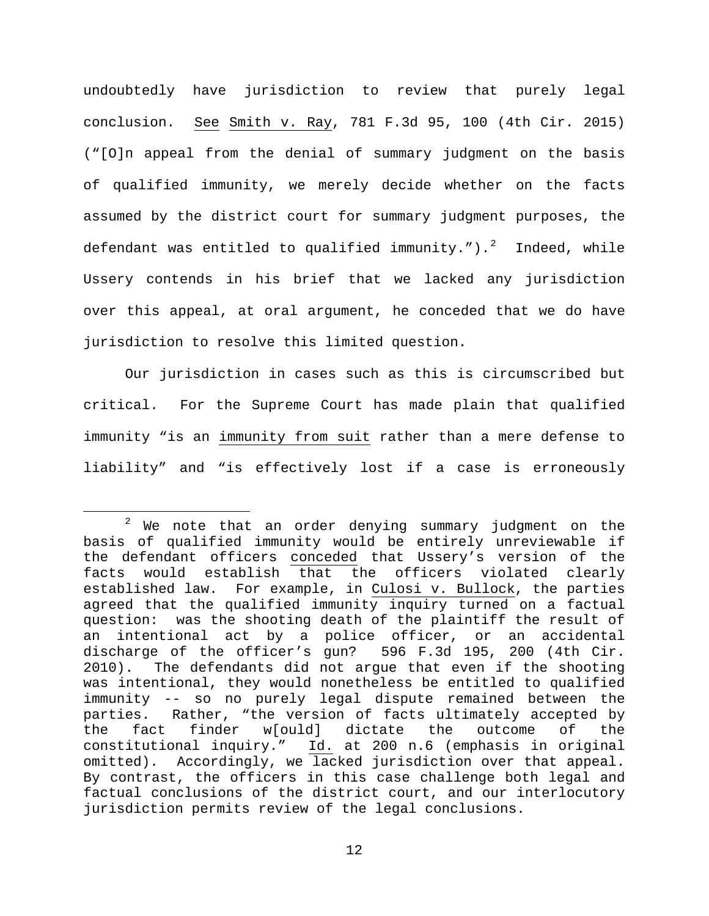undoubtedly have jurisdiction to review that purely legal conclusion. See Smith v. Ray, 781 F.3d 95, 100 (4th Cir. 2015) ("[O]n appeal from the denial of summary judgment on the basis of qualified immunity, we merely decide whether on the facts assumed by the district court for summary judgment purposes, the defendant was entitled to qualified immunity."). $^{2}$  $^{2}$  $^{2}$  Indeed, while Ussery contends in his brief that we lacked any jurisdiction over this appeal, at oral argument, he conceded that we do have jurisdiction to resolve this limited question.

Our jurisdiction in cases such as this is circumscribed but critical. For the Supreme Court has made plain that qualified immunity "is an immunity from suit rather than a mere defense to liability" and "is effectively lost if a case is erroneously

<span id="page-11-0"></span> $2$  We note that an order denying summary judgment on the basis of qualified immunity would be entirely unreviewable if the defendant officers conceded that Ussery's version of the facts would establish that the officers violated clearly established law. For example, in Culosi v. Bullock, the parties agreed that the qualified immunity inquiry turned on a factual question: was the shooting death of the plaintiff the result of an intentional act by a police officer, or an accidental discharge of the officer's gun? 596 F.3d 195, 200 (4th Cir. 2010). The defendants did not argue that even if the shooting was intentional, they would nonetheless be entitled to qualified immunity -- so no purely legal dispute remained between the parties. Rather, "the version of facts ultimately accepted by<br>the fact finder w[ould] dictate the outcome of the  $factor$  fact finder  $w[ound]$  dictate the outcome of constitutional inquiry." Id. at 200 n.6 (emphasis in original omitted). Accordingly, we lacked jurisdiction over that appeal. By contrast, the officers in this case challenge both legal and factual conclusions of the district court, and our interlocutory jurisdiction permits review of the legal conclusions.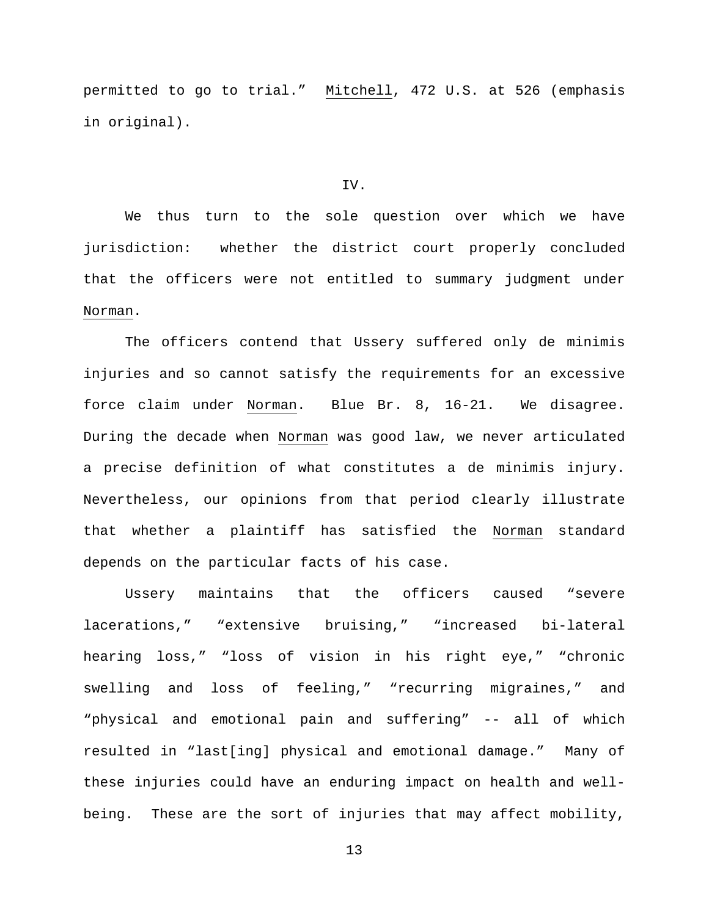permitted to go to trial." Mitchell, 472 U.S. at 526 (emphasis in original).

### IV.

We thus turn to the sole question over which we have jurisdiction: whether the district court properly concluded that the officers were not entitled to summary judgment under Norman.

The officers contend that Ussery suffered only de minimis injuries and so cannot satisfy the requirements for an excessive force claim under Norman. Blue Br. 8, 16-21. We disagree. During the decade when Norman was good law, we never articulated a precise definition of what constitutes a de minimis injury. Nevertheless, our opinions from that period clearly illustrate that whether a plaintiff has satisfied the Norman standard depends on the particular facts of his case.

Ussery maintains that the officers caused "severe lacerations," "extensive bruising," "increased bi-lateral hearing loss," "loss of vision in his right eye," "chronic swelling and loss of feeling," "recurring migraines," and "physical and emotional pain and suffering" -- all of which resulted in "last[ing] physical and emotional damage." Many of these injuries could have an enduring impact on health and wellbeing. These are the sort of injuries that may affect mobility,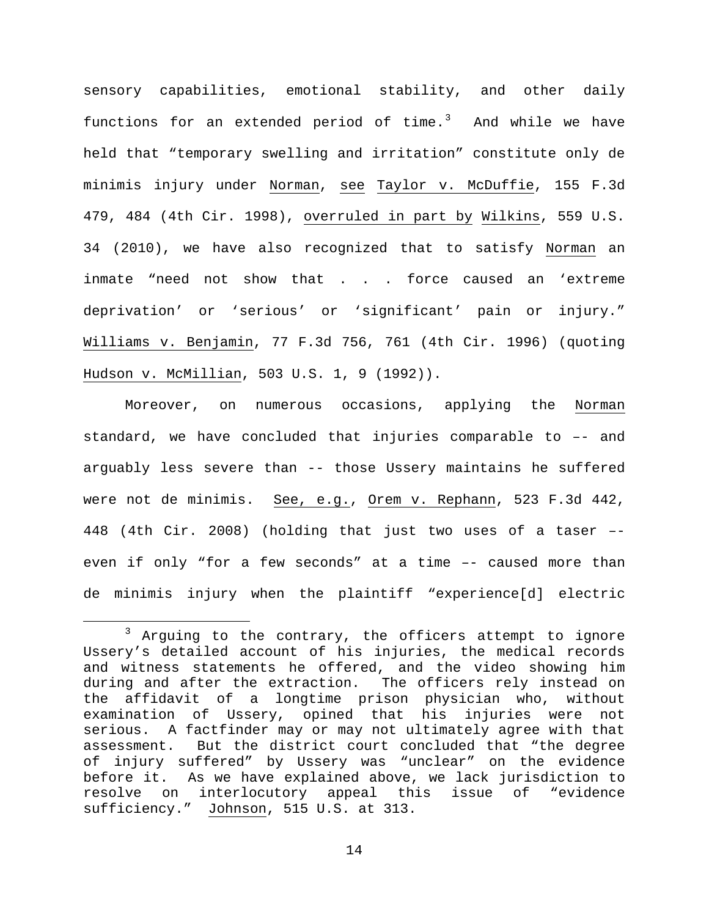sensory capabilities, emotional stability, and other daily functions for an extended period of time. $3$  And while we have held that "temporary swelling and irritation" constitute only de minimis injury under Norman, see Taylor v. McDuffie, 155 F.3d 479, 484 (4th Cir. 1998), overruled in part by Wilkins, 559 U.S. 34 (2010), we have also recognized that to satisfy Norman an inmate "need not show that . . . force caused an 'extreme deprivation' or 'serious' or 'significant' pain or injury." Williams v. Benjamin, 77 F.3d 756, 761 (4th Cir. 1996) (quoting Hudson v. McMillian, 503 U.S. 1, 9 (1992)).

Moreover, on numerous occasions, applying the Norman standard, we have concluded that injuries comparable to –- and arguably less severe than -- those Ussery maintains he suffered were not de minimis. See, e.g., Orem v. Rephann, 523 F.3d 442, 448 (4th Cir. 2008) (holding that just two uses of a taser – even if only "for a few seconds" at a time –- caused more than de minimis injury when the plaintiff "experience[d] electric

<span id="page-13-0"></span> <sup>3</sup> Arguing to the contrary, the officers attempt to ignore Ussery's detailed account of his injuries, the medical records and witness statements he offered, and the video showing him during and after the extraction. The officers rely instead on the affidavit of a longtime prison physician who, without examination of Ussery, opined that his injuries were not serious. A factfinder may or may not ultimately agree with that<br>assessment. But the district court concluded that "the degree But the district court concluded that "the degree of injury suffered" by Ussery was "unclear" on the evidence before it. As we have explained above, we lack jurisdiction to resolve on interlocutory appeal this issue of "evidence sufficiency." Johnson, 515 U.S. at 313.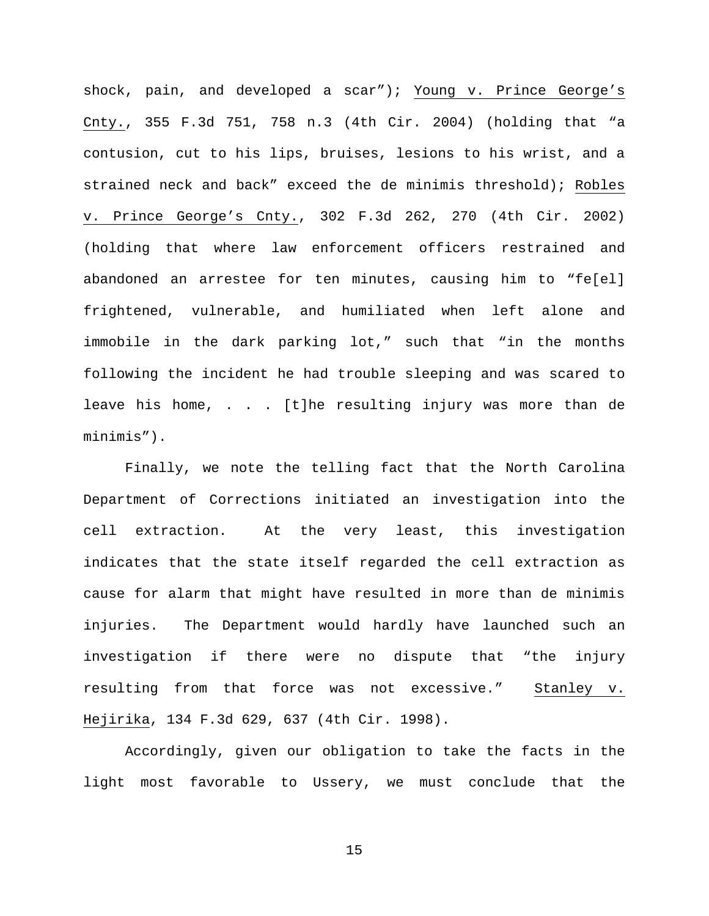shock, pain, and developed a scar"); Young v. Prince George's Cnty., 355 F.3d 751, 758 n.3 (4th Cir. 2004) (holding that "a contusion, cut to his lips, bruises, lesions to his wrist, and a strained neck and back" exceed the de minimis threshold); Robles v. Prince George's Cnty., 302 F.3d 262, 270 (4th Cir. 2002) (holding that where law enforcement officers restrained and abandoned an arrestee for ten minutes, causing him to "fe[el] frightened, vulnerable, and humiliated when left alone and immobile in the dark parking lot," such that "in the months following the incident he had trouble sleeping and was scared to leave his home, . . . [t]he resulting injury was more than de minimis").

Finally, we note the telling fact that the North Carolina Department of Corrections initiated an investigation into the cell extraction. At the very least, this investigation indicates that the state itself regarded the cell extraction as cause for alarm that might have resulted in more than de minimis injuries. The Department would hardly have launched such an investigation if there were no dispute that "the injury resulting from that force was not excessive." Stanley v. Hejirika, 134 F.3d 629, 637 (4th Cir. 1998).

Accordingly, given our obligation to take the facts in the light most favorable to Ussery, we must conclude that the